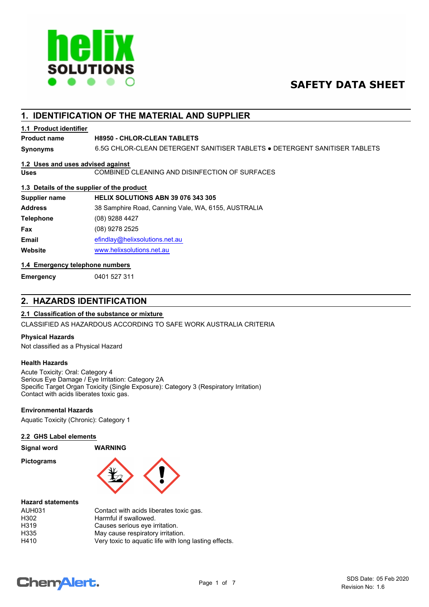

# **SAFETY DATA SHEET**

# **1. IDENTIFICATION OF THE MATERIAL AND SUPPLIER**

## **1.1 Product identifier**

## **Product name H8950 - CHLOR-CLEAN TABLETS**

**Synonyms** 6.5G CHLOR-CLEAN DETERGENT SANITISER TABLETS ● DETERGENT SANITISER TABLETS

## **1.2 Uses and uses advised against**

**Uses** COMBINED CLEANING AND DISINFECTION OF SURFACES

## **1.3 Details of the supplier of the product**

| Supplier name    | HELIX SOLUTIONS ABN 39 076 343 305                  |
|------------------|-----------------------------------------------------|
| <b>Address</b>   | 38 Samphire Road, Canning Vale, WA, 6155, AUSTRALIA |
| <b>Telephone</b> | (08) 9288 4427                                      |
| Fax              | (08) 9278 2525                                      |
| <b>Email</b>     | efindlay@helixsolutions.net.au                      |
| Website          | www.helixsolutions.net.au                           |

## **1.4 Emergency telephone numbers**

**Emergency** 0401 527 311

## **2. HAZARDS IDENTIFICATION**

# **2.1 Classification of the substance or mixture**

CLASSIFIED AS HAZARDOUS ACCORDING TO SAFE WORK AUSTRALIA CRITERIA

## **Physical Hazards**

Not classified as a Physical Hazard

## **Health Hazards**

Acute Toxicity: Oral: Category 4 Serious Eye Damage / Eye Irritation: Category 2A Specific Target Organ Toxicity (Single Exposure): Category 3 (Respiratory Irritation) Contact with acids liberates toxic gas.

## **Environmental Hazards**

Aquatic Toxicity (Chronic): Category 1

### **2.2 GHS Label elements**

| <b>Signal word</b> |  |
|--------------------|--|
|--------------------|--|

**Pictograms**



### **Hazard statements**

| AUH031 | Contact with acids liberates toxic gas.               |
|--------|-------------------------------------------------------|
| H302   | Harmful if swallowed.                                 |
| H319   | Causes serious eye irritation.                        |
| H335   | May cause respiratory irritation.                     |
| H410   | Very toxic to aguatic life with long lasting effects. |

**Signal word WARNING**

# **ChemAlert.**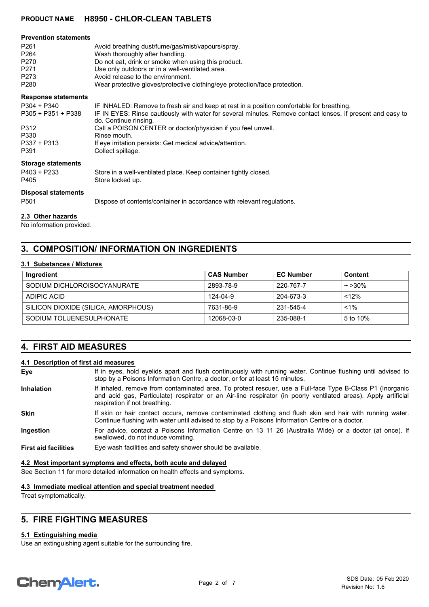| <b>Prevention statements</b><br>P <sub>261</sub><br>P <sub>264</sub><br>P <sub>270</sub><br>P <sub>271</sub><br>P273<br>P <sub>280</sub> | Avoid breathing dust/fume/gas/mist/vapours/spray.<br>Wash thoroughly after handling.<br>Do not eat, drink or smoke when using this product.<br>Use only outdoors or in a well-ventilated area.<br>Avoid release to the environment.<br>Wear protective gloves/protective clothing/eye protection/face protection. |
|------------------------------------------------------------------------------------------------------------------------------------------|-------------------------------------------------------------------------------------------------------------------------------------------------------------------------------------------------------------------------------------------------------------------------------------------------------------------|
| <b>Response statements</b>                                                                                                               |                                                                                                                                                                                                                                                                                                                   |
| $P304 + P340$<br>$P305 + P351 + P338$                                                                                                    | IF INHALED: Remove to fresh air and keep at rest in a position comfortable for breathing.<br>IF IN EYES: Rinse cautiously with water for several minutes. Remove contact lenses, if present and easy to<br>do. Continue rinsing.                                                                                  |
| P312                                                                                                                                     | Call a POISON CENTER or doctor/physician if you feel unwell.                                                                                                                                                                                                                                                      |
| P330<br>P337 + P313<br>P391                                                                                                              | Rinse mouth.<br>If eye irritation persists: Get medical advice/attention.<br>Collect spillage.                                                                                                                                                                                                                    |
| <b>Storage statements</b><br>$P403 + P233$<br>P405                                                                                       | Store in a well-ventilated place. Keep container tightly closed.<br>Store locked up.                                                                                                                                                                                                                              |
| <b>Disposal statements</b><br>P <sub>501</sub>                                                                                           | Dispose of contents/container in accordance with relevant regulations.                                                                                                                                                                                                                                            |

# **2.3 Other hazards**

No information provided.

# **3. COMPOSITION/ INFORMATION ON INGREDIENTS**

### **3.1 Substances / Mixtures**

| Ingredient                          | <b>CAS Number</b> | <b>EC Number</b> | <b>Content</b> |
|-------------------------------------|-------------------|------------------|----------------|
| SODIUM DICHLOROISOCYANURATE         | 2893-78-9         | 220-767-7        | $\sim$ >30%    |
| ADIPIC ACID                         | 124-04-9          | 204-673-3        | <12%           |
| SILICON DIOXIDE (SILICA, AMORPHOUS) | 7631-86-9         | 231-545-4        | $< 1\%$        |
| SODIUM TOLUENESULPHONATE            | 12068-03-0        | 235-088-1        | 5 to 10%       |

# **4. FIRST AID MEASURES**

## **4.1 Description of first aid measures**

| Eye                         | If in eyes, hold eyelids apart and flush continuously with running water. Continue flushing until advised to<br>stop by a Poisons Information Centre, a doctor, or for at least 15 minutes.                                                                  |
|-----------------------------|--------------------------------------------------------------------------------------------------------------------------------------------------------------------------------------------------------------------------------------------------------------|
| <b>Inhalation</b>           | If inhaled, remove from contaminated area. To protect rescuer, use a Full-face Type B-Class P1 (Inorganic<br>and acid gas, Particulate) respirator or an Air-line respirator (in poorly ventilated areas). Apply artificial<br>respiration if not breathing. |
| <b>Skin</b>                 | If skin or hair contact occurs, remove contaminated clothing and flush skin and hair with running water.<br>Continue flushing with water until advised to stop by a Poisons Information Centre or a doctor.                                                  |
| Ingestion                   | For advice, contact a Poisons Information Centre on 13 11 26 (Australia Wide) or a doctor (at once). If<br>swallowed, do not induce vomiting.                                                                                                                |
| <b>First aid facilities</b> | Eye wash facilities and safety shower should be available.                                                                                                                                                                                                   |

## **4.2 Most important symptoms and effects, both acute and delayed**

See Section 11 for more detailed information on health effects and symptoms.

## **4.3 Immediate medical attention and special treatment needed**

Treat symptomatically.

# **5. FIRE FIGHTING MEASURES**

## **5.1 Extinguishing media**

Use an extinguishing agent suitable for the surrounding fire.

# **Chemalert.**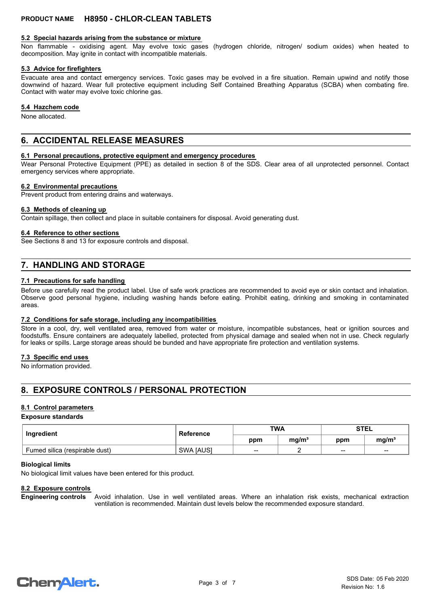### **5.2 Special hazards arising from the substance or mixture**

Non flammable - oxidising agent. May evolve toxic gases (hydrogen chloride, nitrogen/ sodium oxides) when heated to decomposition. May ignite in contact with incompatible materials.

### **5.3 Advice for firefighters**

Evacuate area and contact emergency services. Toxic gases may be evolved in a fire situation. Remain upwind and notify those downwind of hazard. Wear full protective equipment including Self Contained Breathing Apparatus (SCBA) when combating fire. Contact with water may evolve toxic chlorine gas.

### **5.4 Hazchem code**

None allocated.

## **6. ACCIDENTAL RELEASE MEASURES**

### **6.1 Personal precautions, protective equipment and emergency procedures**

Wear Personal Protective Equipment (PPE) as detailed in section 8 of the SDS. Clear area of all unprotected personnel. Contact emergency services where appropriate.

### **6.2 Environmental precautions**

Prevent product from entering drains and waterways.

#### **6.3 Methods of cleaning up**

Contain spillage, then collect and place in suitable containers for disposal. Avoid generating dust.

### **6.4 Reference to other sections**

See Sections 8 and 13 for exposure controls and disposal.

# **7. HANDLING AND STORAGE**

### **7.1 Precautions for safe handling**

Before use carefully read the product label. Use of safe work practices are recommended to avoid eye or skin contact and inhalation. Observe good personal hygiene, including washing hands before eating. Prohibit eating, drinking and smoking in contaminated areas.

### **7.2 Conditions for safe storage, including any incompatibilities**

Store in a cool, dry, well ventilated area, removed from water or moisture, incompatible substances, heat or ignition sources and foodstuffs. Ensure containers are adequately labelled, protected from physical damage and sealed when not in use. Check regularly for leaks or spills. Large storage areas should be bunded and have appropriate fire protection and ventilation systems.

### **7.3 Specific end uses**

No information provided.

# **8. EXPOSURE CONTROLS / PERSONAL PROTECTION**

### **8.1 Control parameters**

### **Exposure standards**

| Ingredient                     | Reference        | <b>TWA</b> |                   | <b>STEL</b>     |                   |
|--------------------------------|------------------|------------|-------------------|-----------------|-------------------|
|                                |                  | ppm        | ma/m <sup>3</sup> | ppm             | mq/m <sup>3</sup> |
| Fumed silica (respirable dust) | <b>SWA JAUSI</b> | $- -$      |                   | $\qquad \qquad$ | $- -$             |

#### **Biological limits**

No biological limit values have been entered for this product.

### **8.2 Exposure controls**

Avoid inhalation. Use in well ventilated areas. Where an inhalation risk exists, mechanical extraction ventilation is recommended. Maintain dust levels below the recommended exposure standard. **Engineering controls**

# **ChemAlert.**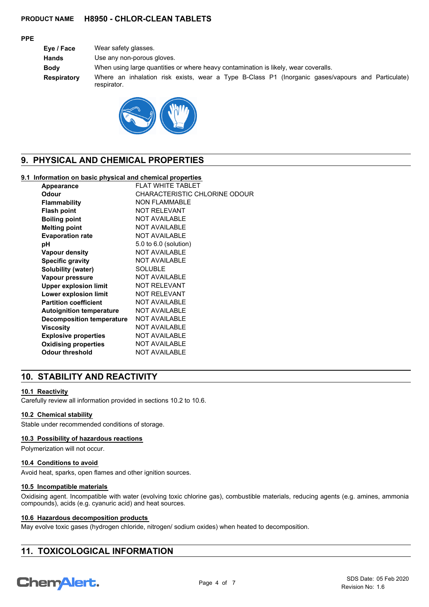## **PPE**

| Eye / Face  | Wear safety glasses.                                                                                             |
|-------------|------------------------------------------------------------------------------------------------------------------|
| Hands       | Use any non-porous gloves.                                                                                       |
| Bodv        | When using large quantities or where heavy contamination is likely, wear coveralls.                              |
| Respiratory | Where an inhalation risk exists, wear a Type B-Class P1 (Inorganic gases/vapours and Particulate)<br>respirator. |



# **9. PHYSICAL AND CHEMICAL PROPERTIES**

## **9.1 Information on basic physical and chemical properties**

| Appearance                       | FI AT WHITF TABI FT           |
|----------------------------------|-------------------------------|
| Odour                            | CHARACTERISTIC CHLORINE ODOUR |
| <b>Flammability</b>              | <b>NON FLAMMABLE</b>          |
| <b>Flash point</b>               | <b>NOT RELEVANT</b>           |
| <b>Boiling point</b>             | <b>NOT AVAILABLE</b>          |
| <b>Melting point</b>             | <b>NOT AVAILABLE</b>          |
| <b>Evaporation rate</b>          | <b>NOT AVAILABLE</b>          |
| рH                               | 5.0 to 6.0 (solution)         |
| Vapour density                   | <b>NOT AVAILABLE</b>          |
| <b>Specific gravity</b>          | <b>NOT AVAILABLE</b>          |
| Solubility (water)               | SOLUBLE                       |
| Vapour pressure                  | <b>NOT AVAILABLE</b>          |
| <b>Upper explosion limit</b>     | <b>NOT RELEVANT</b>           |
| Lower explosion limit            | <b>NOT RELEVANT</b>           |
| <b>Partition coefficient</b>     | <b>NOT AVAILABLE</b>          |
| <b>Autoignition temperature</b>  | <b>NOT AVAILABLE</b>          |
| <b>Decomposition temperature</b> | <b>NOT AVAILABLE</b>          |
| Viscosity                        | <b>NOT AVAILABLE</b>          |
| <b>Explosive properties</b>      | <b>NOT AVAILABLE</b>          |
| <b>Oxidising properties</b>      | <b>NOT AVAILABLE</b>          |
| Odour threshold                  | <b>NOT AVAILABLE</b>          |

# **10. STABILITY AND REACTIVITY**

## **10.1 Reactivity**

Carefully review all information provided in sections 10.2 to 10.6.

## **10.2 Chemical stability**

Stable under recommended conditions of storage.

## **10.3 Possibility of hazardous reactions**

Polymerization will not occur.

## **10.4 Conditions to avoid**

Avoid heat, sparks, open flames and other ignition sources.

### **10.5 Incompatible materials**

Oxidising agent. Incompatible with water (evolving toxic chlorine gas), combustible materials, reducing agents (e.g. amines, ammonia compounds), acids (e.g. cyanuric acid) and heat sources.

### **10.6 Hazardous decomposition products**

May evolve toxic gases (hydrogen chloride, nitrogen/ sodium oxides) when heated to decomposition.

# **11. TOXICOLOGICAL INFORMATION**

# Chem Alert.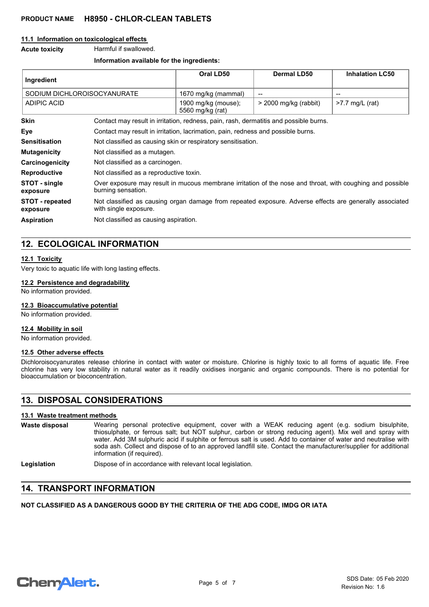### **11.1 Information on toxicological effects**

**Acute toxicity** Harmful if swallowed.

### **Information available for the ingredients:**

| Ingredient                         |                                                                                                                                  | Oral LD50                               | <b>Dermal LD50</b>       | <b>Inhalation LC50</b> |
|------------------------------------|----------------------------------------------------------------------------------------------------------------------------------|-----------------------------------------|--------------------------|------------------------|
| SODIUM DICHLOROISOCYANURATE        |                                                                                                                                  | 1670 mg/kg (mammal)                     | $\overline{\phantom{a}}$ | $\qquad \qquad$        |
| <b>ADIPIC ACID</b>                 |                                                                                                                                  | 1900 mg/kg (mouse);<br>5560 mg/kg (rat) | $>$ 2000 mg/kg (rabbit)  | $>7.7$ mg/L (rat)      |
| <b>Skin</b>                        | Contact may result in irritation, redness, pain, rash, dermatitis and possible burns.                                            |                                         |                          |                        |
| Eye                                | Contact may result in irritation, lacrimation, pain, redness and possible burns.                                                 |                                         |                          |                        |
| <b>Sensitisation</b>               | Not classified as causing skin or respiratory sensitisation.                                                                     |                                         |                          |                        |
| <b>Mutagenicity</b>                | Not classified as a mutagen.                                                                                                     |                                         |                          |                        |
| Carcinogenicity                    | Not classified as a carcinogen.                                                                                                  |                                         |                          |                        |
| <b>Reproductive</b>                | Not classified as a reproductive toxin.                                                                                          |                                         |                          |                        |
| STOT - single<br>exposure          | Over exposure may result in mucous membrane irritation of the nose and throat, with coughing and possible<br>burning sensation.  |                                         |                          |                        |
| <b>STOT</b> - repeated<br>exposure | Not classified as causing organ damage from repeated exposure. Adverse effects are generally associated<br>with single exposure. |                                         |                          |                        |
| <b>Aspiration</b>                  | Not classified as causing aspiration.                                                                                            |                                         |                          |                        |

# **12. ECOLOGICAL INFORMATION**

### **12.1 Toxicity**

Very toxic to aquatic life with long lasting effects.

### **12.2 Persistence and degradability**

No information provided.

### **12.3 Bioaccumulative potential**

No information provided.

## **12.4 Mobility in soil**

No information provided.

## **12.5 Other adverse effects**

Dichloroisocyanurates release chlorine in contact with water or moisture. Chlorine is highly toxic to all forms of aquatic life. Free chlorine has very low stability in natural water as it readily oxidises inorganic and organic compounds. There is no potential for bioaccumulation or bioconcentration.

# **13. DISPOSAL CONSIDERATIONS**

## **13.1 Waste treatment methods**

| Waste disposal | Wearing personal protective equipment, cover with a WEAK reducing agent (e.g. sodium bisulphite,                                                                                                                                                                 |
|----------------|------------------------------------------------------------------------------------------------------------------------------------------------------------------------------------------------------------------------------------------------------------------|
|                | thiosulphate, or ferrous salt; but NOT sulphur, carbon or strong reducing agent). Mix well and spray with                                                                                                                                                        |
|                | water. Add 3M sulphuric acid if sulphite or ferrous salt is used. Add to container of water and neutralise with<br>soda ash. Collect and dispose of to an approved landfill site. Contact the manufacturer/supplier for additional<br>information (if required). |

Legislation **Dispose of in accordance with relevant local legislation.** 

# **14. TRANSPORT INFORMATION**

## **NOT CLASSIFIED AS A DANGEROUS GOOD BY THE CRITERIA OF THE ADG CODE, IMDG OR IATA**

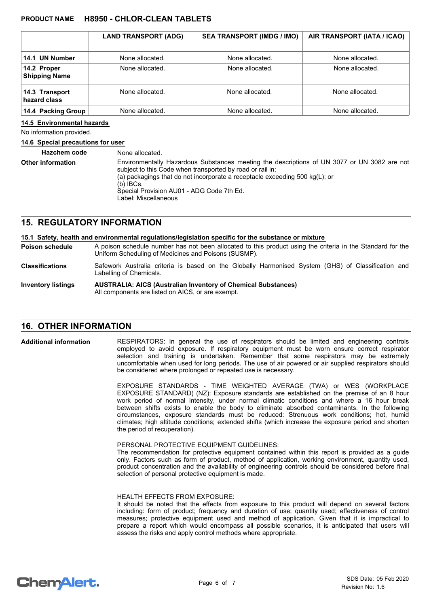|                                     | <b>LAND TRANSPORT (ADG)</b> | <b>SEA TRANSPORT (IMDG / IMO)</b> | AIR TRANSPORT (IATA / ICAO) |
|-------------------------------------|-----------------------------|-----------------------------------|-----------------------------|
| 14.1 UN Number                      | None allocated.             | None allocated.                   | None allocated.             |
| 14.2 Proper<br><b>Shipping Name</b> | None allocated.             | None allocated.                   | None allocated.             |
| 14.3 Transport<br>hazard class      | None allocated.             | None allocated.                   | None allocated.             |
| 14.4 Packing Group                  | None allocated.             | None allocated.                   | None allocated.             |

### **14.5 Environmental hazards**

No information provided.

### **14.6 Special precautions for user**

| <b>Hazchem code</b>      | None allocated.                                                                                                                                                                                                                                                                                                                |
|--------------------------|--------------------------------------------------------------------------------------------------------------------------------------------------------------------------------------------------------------------------------------------------------------------------------------------------------------------------------|
| <b>Other information</b> | Environmentally Hazardous Substances meeting the descriptions of UN 3077 or UN 3082 are not<br>subject to this Code when transported by road or rail in;<br>(a) packagings that do not incorporate a receptacle exceeding 500 $kg(L)$ ; or<br>$(b)$ IBCs.<br>Special Provision AU01 - ADG Code 7th Ed.<br>Label: Miscellaneous |

## **15. REGULATORY INFORMATION**

| 15.1 Safety, health and environmental regulations/legislation specific for the substance or mixture |                                                                                                                                                                    |  |  |  |
|-----------------------------------------------------------------------------------------------------|--------------------------------------------------------------------------------------------------------------------------------------------------------------------|--|--|--|
| Poison schedule                                                                                     | A poison schedule number has not been allocated to this product using the criteria in the Standard for the<br>Uniform Scheduling of Medicines and Poisons (SUSMP). |  |  |  |
| <b>Classifications</b>                                                                              | Safework Australia criteria is based on the Globally Harmonised System (GHS) of Classification and<br>Labelling of Chemicals.                                      |  |  |  |
| <b>Inventory listings</b>                                                                           | <b>AUSTRALIA: AICS (Australian Inventory of Chemical Substances)</b><br>All components are listed on AICS, or are exempt.                                          |  |  |  |

# **16. OTHER INFORMATION**

RESPIRATORS: In general the use of respirators should be limited and engineering controls employed to avoid exposure. If respiratory equipment must be worn ensure correct respirator selection and training is undertaken. Remember that some respirators may be extremely uncomfortable when used for long periods. The use of air powered or air supplied respirators should be considered where prolonged or repeated use is necessary. **Additional information**

> EXPOSURE STANDARDS - TIME WEIGHTED AVERAGE (TWA) or WES (WORKPLACE EXPOSURE STANDARD) (NZ): Exposure standards are established on the premise of an 8 hour work period of normal intensity, under normal climatic conditions and where a 16 hour break between shifts exists to enable the body to eliminate absorbed contaminants. In the following circumstances, exposure standards must be reduced: Strenuous work conditions; hot, humid climates; high altitude conditions; extended shifts (which increase the exposure period and shorten the period of recuperation).

### PERSONAL PROTECTIVE EQUIPMENT GUIDELINES:

The recommendation for protective equipment contained within this report is provided as a guide only. Factors such as form of product, method of application, working environment, quantity used, product concentration and the availability of engineering controls should be considered before final selection of personal protective equipment is made.

#### HEALTH EFFECTS FROM EXPOSURE:

It should be noted that the effects from exposure to this product will depend on several factors including: form of product; frequency and duration of use; quantity used; effectiveness of control measures; protective equipment used and method of application. Given that it is impractical to prepare a report which would encompass all possible scenarios, it is anticipated that users will assess the risks and apply control methods where appropriate.

# **ChemAlert.**